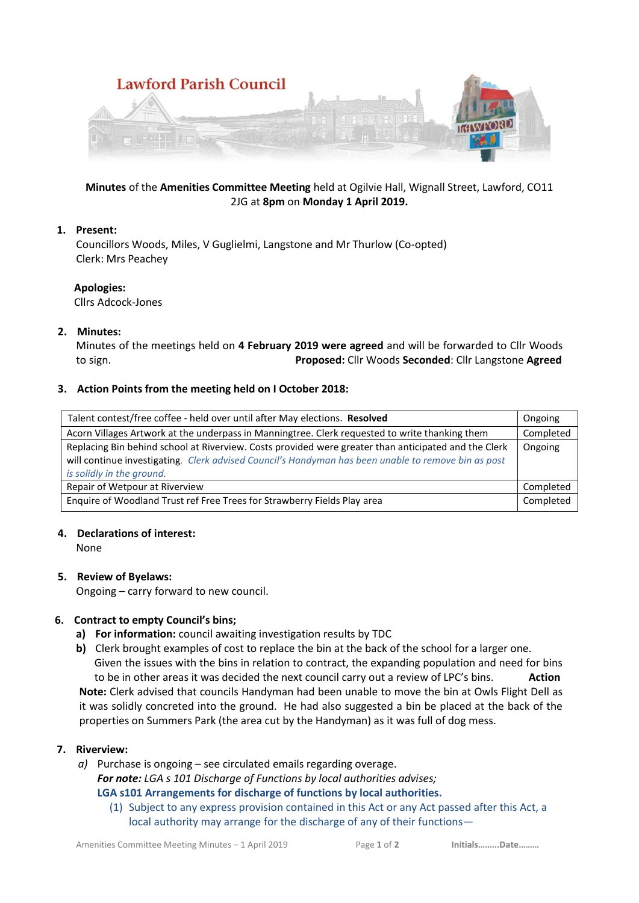

# **Minutes** of the **Amenities Committee Meeting** held at Ogilvie Hall, Wignall Street, Lawford, CO11 2JG at **8pm** on **Monday 1 April 2019.**

# **1. Present:**

Councillors Woods, Miles, V Guglielmi, Langstone and Mr Thurlow (Co-opted) Clerk: Mrs Peachey

## **Apologies:**

Cllrs Adcock-Jones

## **2. Minutes:**

Minutes of the meetings held on **4 February 2019 were agreed** and will be forwarded to Cllr Woods to sign. **Proposed:** Cllr Woods **Seconded**: Cllr Langstone **Agreed** 

## **3. Action Points from the meeting held on I October 2018:**

| Talent contest/free coffee - held over until after May elections. Resolved                                                                                                                                                               | Ongoing   |
|------------------------------------------------------------------------------------------------------------------------------------------------------------------------------------------------------------------------------------------|-----------|
| Acorn Villages Artwork at the underpass in Manningtree. Clerk requested to write thanking them                                                                                                                                           | Completed |
| Replacing Bin behind school at Riverview. Costs provided were greater than anticipated and the Clerk<br>will continue investigating. Clerk advised Council's Handyman has been unable to remove bin as post<br>is solidly in the ground. | Ongoing   |
| Repair of Wetpour at Riverview                                                                                                                                                                                                           | Completed |
| Enquire of Woodland Trust ref Free Trees for Strawberry Fields Play area                                                                                                                                                                 | Completed |

#### **4. Declarations of interest:**

None

# **5. Review of Byelaws:**

Ongoing – carry forward to new council.

# **6. Contract to empty Council's bins;**

- **a) For information:** council awaiting investigation results by TDC
- **b)** Clerk brought examples of cost to replace the bin at the back of the school for a larger one. Given the issues with the bins in relation to contract, the expanding population and need for bins

to be in other areas it was decided the next council carry out a review of LPC's bins. **Action Note:** Clerk advised that councils Handyman had been unable to move the bin at Owls Flight Dell as it was solidly concreted into the ground. He had also suggested a bin be placed at the back of the properties on Summers Park (the area cut by the Handyman) as it was full of dog mess.

#### **7. Riverview:**

- *a)* Purchase is ongoing see circulated emails regarding overage. *For note: LGA s 101 Discharge of Functions by local authorities advises;*  **LGA s101 Arrangements for discharge of functions by local authorities.**
	- (1) Subject to any express provision contained in this Act or any Act passed after this Act, a local authority may arrange for the discharge of any of their functions—